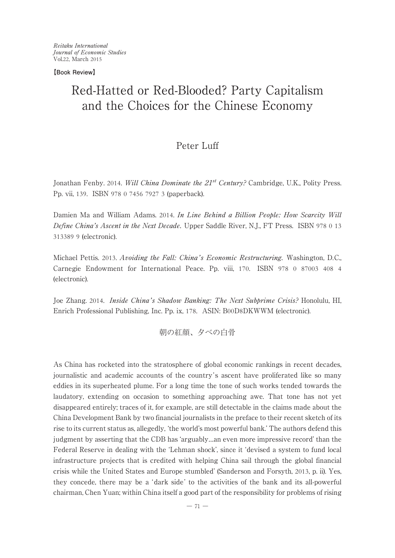Reitaku International Journal of Economic Studies Vol.22, March 2015

**【Book Review】**

# Red-Hatted or Red-Blooded? Party Capitalism and the Choices for the Chinese Economy

## Peter Luff

Jonathan Fenby. 2014. Will China Dominate the  $21^{st}$  Century? Cambridge, U.K., Polity Press. Pp. vii, 139. ISBN 978 0 7456 7927 3 (paperback).

Damien Ma and William Adams. 2014. In Line Behind a Billion People: How Scarcity Will Define China's Ascent in the Next Decade. Upper Saddle River, N.J., FT Press. ISBN 978 0 13 313389 9 (electronic).

Michael Pettis. 2013. Avoiding the Fall: China's Economic Restructuring. Washington, D.C., Carnegie Endowment for International Peace. Pp. viii, 170. ISBN 978 0 87003 408 4 (electronic).

Joe Zhang. 2014. Inside China's Shadow Banking: The Next Subprime Crisis? Honolulu, HI, Enrich Professional Publishing, Inc. Pp. ix, 178. ASIN: B00D8DKWWM (electronic).

朝の紅顔、夕べの白骨

As China has rocketed into the stratosphere of global economic rankings in recent decades, journalistic and academic accounts of the country's ascent have proliferated like so many eddies in its superheated plume. For a long time the tone of such works tended towards the laudatory, extending on occasion to something approaching awe. That tone has not yet disappeared entirely; traces of it, for example, are still detectable in the claims made about the China Development Bank by two financial journalists in the preface to their recent sketch of its rise to its current status as, allegedly, ʻthe world's most powerful bank.' The authors defend this judgment by asserting that the CDB has ʻarguably…an even more impressive record' than the Federal Reserve in dealingwith the ʻLehman shock', since it ʻdevised a system to fund local infrastructure projects that is credited with helping China sail through the global financial crisis while the United States and Europe stumbled' (Sanderson and Forsyth, 2013, p. ii). Yes, they concede, there may be a ʻdark side ' to the activities of the bank and its all-powerful chairman, Chen Yuan; within China itself a good part of the responsibility for problems of rising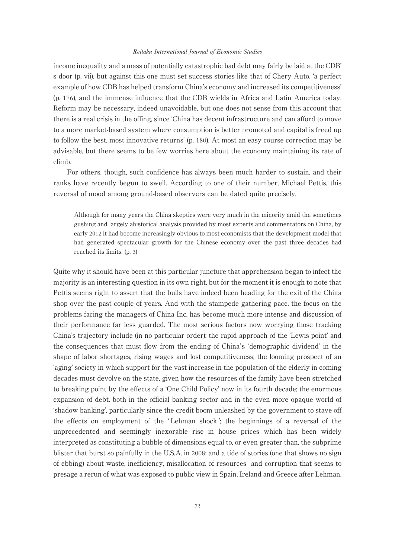income inequality and a mass of potentially catastrophic bad debt may fairly be laid at the CDB' s door (p. vii), but against this one must set success stories like that of Chery Auto, ʻa perfect example of how CDB has helped transform China's economy and increased its competitiveness' (p. 176), and the immense influence that the CDB wields in Africa and Latin America today. Reform may be necessary, indeed unavoidable, but one does not sense from this account that there is a real crisis in the offing, since ʻChina has decent infrastructure and can afford to move to a more market-based system where consumption is better promoted and capital is freed up to follow the best, most innovative returns' (p. 180). At most an easy course correction may be advisable, but there seems to be few worries here about the economy maintainingits rate of climb.

For others, though, such confidence has always been much harder to sustain, and their ranks have recently begun to swell. According to one of their number, Michael Pettis, this reversal of mood among ground-based observers can be dated quite precisely.

Although for many years the China skeptics were very much in the minority amid the sometimes gushing and largely ahistorical analysis provided by most experts and commentators on China, by early 2012 it had become increasingly obvious to most economists that the development model that had generated spectacular growth for the Chinese economy over the past three decades had reached its limits. (p. 3)

Quite why it should have been at this particular juncture that apprehension began to infect the majority is an interesting question in its own right, but for the moment it is enough to note that Pettis seems right to assert that the bulls have indeed been heading for the exit of the China shop over the past couple of years. And with the stampede gathering pace, the focus on the problems facing the managers of China Inc. has become much more intense and discussion of their performance far less guarded. The most serious factors now worrying those tracking China's trajectory include (in no particular order): the rapid approach of the ʻLewis point' and the consequences that must flow from the endingof China's ʻdemographic dividend' in the shape of labor shortages, rising wages and lost competitiveness; the looming prospect of an ʻaging' society in which support for the vast increase in the population of the elderly in coming decades must devolve on the state, given how the resources of the family have been stretched to breaking point by the effects of a 'One Child Policy' now in its fourth decade; the enormous expansion of debt, both in the official banking sector and in the even more opaque world of ʻshadow banking', particularly since the credit boom unleashed by the government to stave off the effects on employment of the ʻ Lehman shock '; the beginnings of a reversal of the unprecedented and seemingly inexorable rise in house prices which has been widely interpreted as constitutinga bubble of dimensions equal to, or even greater than, the subprime blister that burst so painfully in the U.S.A. in 2008; and a tide of stories (one that shows no sign of ebbing) about waste, inefficiency, misallocation of resources and corruption that seems to presage a rerun of what was exposed to public view in Spain, Ireland and Greece after Lehman.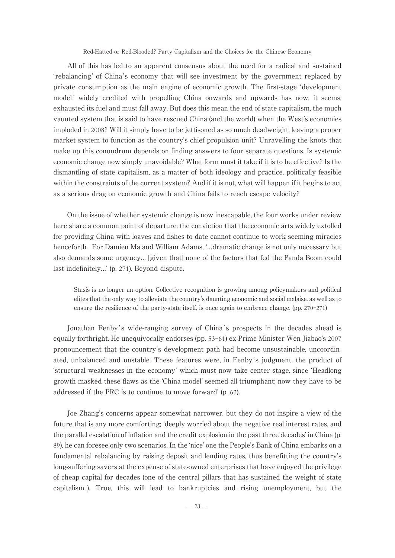All of this has led to an apparent consensus about the need for a radical and sustained ʻrebalancing' of China's economy that will see investment by the government replaced by private consumption as the main engine of economic growth. The first-stage ʻdevelopment model' widely credited with propelling China onwards and upwards has now, it seems, exhausted its fuel and must fall away. But does this mean the end of state capitalism, the much vaunted system that is said to have rescued China (and the world) when the West's economies imploded in 2008? Will it simply have to be jettisoned as so much deadweight, leaving a proper market system to function as the country's chief propulsion unit? Unravelling the knots that make up this conundrum depends on finding answers to four separate questions. Is systemic economic change now simply unavoidable? What form must it take if it is to be effective? Is the dismantling of state capitalism, as a matter of both ideology and practice, politically feasible within the constraints of the current system? And if it is not, what will happen if it begins to act as a serious drag on economic growth and China fails to reach escape velocity?

On the issue of whether systemic change is now inescapable, the four works under review here share a common point of departure; the conviction that the economic arts widely extolled for providing China with loaves and fishes to date cannot continue to work seeming miracles henceforth. For Damien Ma and William Adams, ʻ…dramatic change is not only necessary but also demands some urgency… [given that] none of the factors that fed the Panda Boom could last indefinitely…' (p. 271). Beyond dispute,

Stasis is no longer an option. Collective recognition is growing among policymakers and political elites that the only way to alleviate the country's dauntingeconomic and social malaise, as well as to ensure the resilience of the party-state itself, is once again to embrace change. (pp. 270-271)

Jonathan Fenby's wide-ranging survey of China's prospects in the decades ahead is equally forthright. He unequivocally endorses (pp. 53-61) ex-Prime Minister Wen Jiabao's 2007 pronouncement that the country's development path had become unsustainable, uncoordinated, unbalanced and unstable. These features were, in Fenby's judgment, the product of ʻstructural weaknesses in the economy' which must now take center stage, since ʻHeadlong growth masked these flaws as the ʻChina model' seemed all-triumphant; now they have to be addressed if the PRC is to continue to move forward' (p. 63).

Joe Zhang's concerns appear somewhat narrower, but they do not inspire a view of the future that is any more comforting; ʻdeeply worried about the negative real interest rates, and the parallel escalation of inflation and the credit explosion in the past three decades' in China (p. 89), he can foresee only two scenarios. In the ʻnice' one the People's Bank of China embarks on a fundamental rebalancing by raising deposit and lending rates, thus benefitting the country's long-suffering savers at the expense of state-owned enterprises that have enjoyed the privilege of cheap capital for decades (one of the central pillars that has sustained the weight of state capitalism). True, this will lead to bankruptcies and rising unemployment, but the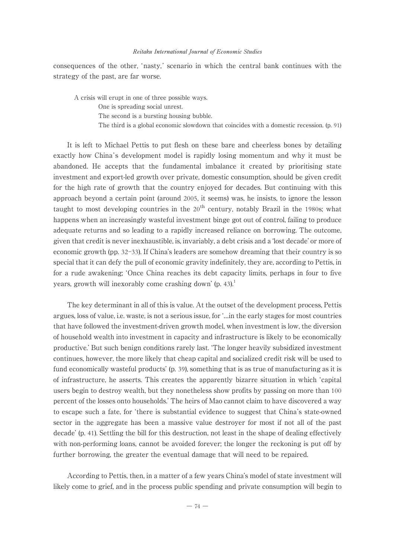consequences of the other, ʻ nasty, ' scenario in which the central bank continues with the strategy of the past, are far worse.

A crisis will erupt in one of three possible ways. One is spreading social unrest. The second is a bursting housing bubble. The third is a global economic slowdown that coincides with a domestic recession. (p. 91)

It is left to Michael Pettis to put flesh on these bare and cheerless bones by detailing exactly how China 's development model is rapidly losingmomentum and why it must be abandoned. He accepts that the fundamental imbalance it created by prioritising state investment and export-led growth over private, domestic consumption, should be given credit for the high rate of growth that the country enjoyed for decades. But continuing with this approach beyond a certain point (around 2005, it seems) was, he insists, to ignore the lesson taught to most developing countries in the  $20<sup>th</sup>$  century, notably Brazil in the 1980s; what happens when an increasingly wasteful investment binge got out of control, failing to produce adequate returns and so leading to a rapidly increased reliance on borrowing. The outcome, given that credit is never inexhaustible, is, invariably, a debt crisis and a ʻlost decade' or more of economic growth (pp. 32–33). If China's leaders are somehow dreaming that their country is so special that it can defy the pull of economic gravity indefinitely, they are, according to Pettis, in for a rude awakening; ʻOnce China reaches its debt capacity limits, perhaps in four to five years, growth will inexorably come crashing down' (p. 43).<sup>1</sup>

The key determinant in all of this is value. At the outset of the development process, Pettis argues, loss of value, i.e. waste, is not a serious issue, for ʻ…in the early stages for most countries that have followed the investment-driven growth model, when investment is low, the diversion of household wealth into investment in capacity and infrastructure is likely to be economically productive.' But such benign conditions rarely last. ʻThe longer heavily subsidized investment continues, however, the more likely that cheap capital and socialized credit risk will be used to fund economically wasteful products' (p. 39), something that is as true of manufacturing as it is of infrastructure, he asserts. This creates the apparently bizarre situation in which ʻcapital users begin to destroy wealth, but they nonetheless show profits by passing on more than 100 percent of the losses onto households.' The heirs of Mao cannot claim to have discovered a way to escape such a fate, for ʻthere is substantial evidence to suggest that China's state-owned sector in the aggregate has been a massive value destroyer for most if not all of the past decade' (p. 41). Settling the bill for this destruction, not least in the shape of dealing effectively with non-performing loans, cannot be avoided forever; the longer the reckoning is put off by further borrowing, the greater the eventual damage that will need to be repaired.

According to Pettis, then, in a matter of a few years China's model of state investment will likely come to grief, and in the process public spending and private consumption will begin to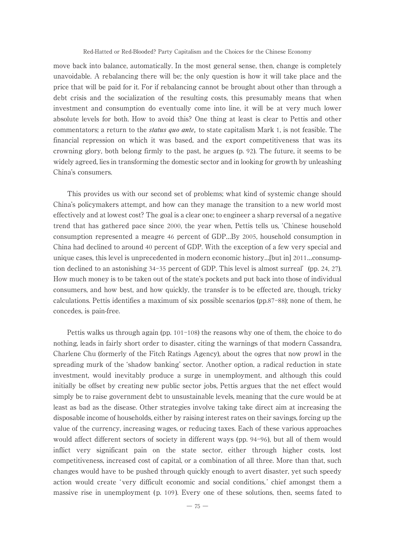move back into balance, automatically. In the most general sense, then, change is completely unavoidable. A rebalancing there will be; the only question is how it will take place and the price that will be paid for it. For if rebalancing cannot be brought about other than through a debt crisis and the socialization of the resulting costs, this presumably means that when investment and consumption do eventually come into line, it will be at very much lower absolute levels for both. How to avoid this? One thing at least is clear to Pettis and other commentators; a return to the *status quo ante*, to state capitalism Mark 1, is not feasible. The financial repression on which it was based, and the export competitiveness that was its crowningglory, both belongfirmly to the past, he argues (p. 92). The future, it seems to be widely agreed, lies in transforming the domestic sector and in looking for growth by unleashing China's consumers.

This provides us with our second set of problems; what kind of systemic change should China's policymakers attempt, and how can they manage the transition to a new world most effectively and at lowest cost? The goal is a clear one; to engineer a sharp reversal of a negative trend that has gathered pace since 2000, the year when, Pettis tells us, ʻChinese household consumption represented a meagre 46 percent of GDP…By 2005, household consumption in China had declined to around 40 percent of GDP. With the exception of a few very special and unique cases, this level is unprecedented in modern economic history…[but in] 2011…consumption declined to an astonishing 34-35 percent of GDP. This level is almost surreal' (pp. 24, 27). How much money is to be taken out of the state's pockets and put back into those of individual consumers, and how best, and how quickly, the transfer is to be effected are, though, tricky calculations. Pettis identifies a maximum of six possible scenarios (pp.87-88); none of them, he concedes, is pain-free.

Pettis walks us through again (pp. 101-108) the reasons why one of them, the choice to do nothing, leads in fairly short order to disaster, citing the warnings of that modern Cassandra, Charlene Chu (formerly of the Fitch Ratings Agency), about the ogres that now prowl in the spreading murk of the 'shadow banking' sector. Another option, a radical reduction in state investment, would inevitably produce a surge in unemployment, and although this could initially be offset by creating new public sector jobs, Pettis argues that the net effect would simply be to raise government debt to unsustainable levels, meaning that the cure would be at least as bad as the disease. Other strategies involve taking take direct aim at increasing the disposable income of households, either by raisinginterest rates on their savings, forcingup the value of the currency, increasingwages, or reducingtaxes. Each of these various approaches would affect different sectors of society in different ways (pp. 94-96), but all of them would inflict very significant pain on the state sector, either through higher costs, lost competitiveness, increased cost of capital, or a combination of all three. More than that, such changes would have to be pushed through quickly enough to avert disaster, yet such speedy action would create ʻ very difficult economic and social conditions, ' chief amongst them a massive rise in unemployment (p. 109 ). Every one of these solutions, then, seems fated to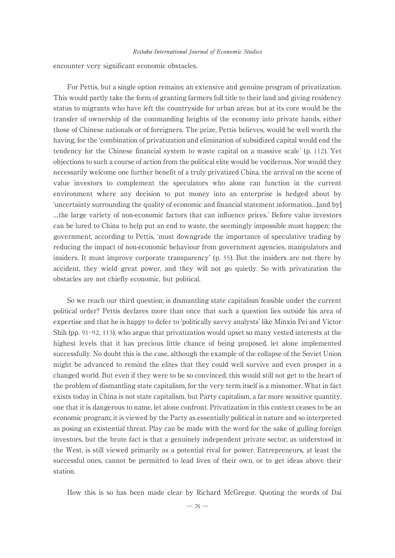encounter very significant economic obstacles.

For Pettis, but a single option remains; an extensive and genuine program of privatization. This would partly take the form of granting farmers full title to their land and giving residency status to migrants who have left the countryside for urban areas; but at its core would be the transfer of ownership of the commandingheights of the economy into private hands, either those of Chinese nationals or of foreigners. The prize, Pettis believes, would be well worth the having, for the ʻcombination of privatization and elimination of subsidized capital would end the tendency for the Chinese financial system to waste capital on a massive scale' (p. 112). Yet objections to such a course of action from the political elite would be vociferous. Nor would they necessarily welcome one further benefit of a truly privatized China, the arrival on the scene of value investors to complement the speculators who alone can function in the current environment where any decision to put money into an enterprise is hedged about by ʻuncertainty surroundingthe quality of economic and financial statement information…[and by] …the large variety of non-economic factors that can influence prices.' Before value investors can be lured to China to help put an end to waste, the seemingly impossible must happen; the government, according to Pettis, ʻmust downgrade the importance of speculative trading by reducing the impact of non-economic behaviour from government agencies, manipulators and insiders. It must improve corporate transparency' (p. 55). But the insiders are not there by accident, they wield great power, and they will not go quietly. So with privatization the obstacles are not chiefly economic, but political.

So we reach our third question; is dismantling state capitalism feasible under the current political order? Pettis declares more than once that such a question lies outside his area of expertise and that he is happy to defer to ʻpolitically savvy analysts' like Minxin Pei and Victor Shih (pp. 91-92, 113), who argue that privatization would upset so many vested interests at the highest levels that it has precious little chance of being proposed, let alone implemented successfully. No doubt this is the case, although the example of the collapse of the Soviet Union might be advanced to remind the elites that they could well survive and even prosper in a changed world. But even if they were to be so convinced, this would still not get to the heart of the problem of dismantlingstate capitalism, for the very term itself is a misnomer. What in fact exists today in China is not state capitalism, but Party capitalism, a far more sensitive quantity, one that it is dangerous to name, let alone confront. Privatization in this context ceases to be an economic program; it is viewed by the Party as essentially political in nature and so interpreted as posing an existential threat. Play can be made with the word for the sake of gulling foreign investors, but the brute fact is that a genuinely independent private sector, as understood in the West, is still viewed primarily as a potential rival for power. Entrepreneurs, at least the successful ones, cannot be permitted to lead lives of their own, or to get ideas above their station.

How this is so has been made clear by Richard McGregor. Quoting the words of Dai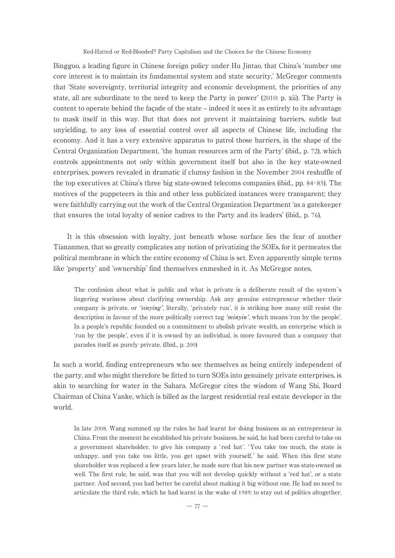Bingguo, a leading figure in Chinese foreign policy under Hu Jintao, that China's ʻnumber one core interest is to maintain its fundamental system and state security,' McGregor comments that ʻState sovereignty, territorial integrity and economic development, the priorities of any state, all are subordinate to the need to keep the Party in power' (2010: p. xii). The Party is content to operate behind the façade of the state – indeed it sees it as entirely to its advantage to mask itself in this way. But that does not prevent it maintaining barriers, subtle but unyielding, to any loss of essential control over all aspects of Chinese life, including the economy. And it has a very extensive apparatus to patrol those barriers, in the shape of the Central Organization Department, ʻthe human resources arm of the Party' (ibid., p. 72), which controls appointments not only within government itself but also in the key state-owned enterprises, powers revealed in dramatic if clumsy fashion in the November 2004 reshuffle of the top executives at China's three big state-owned telecoms companies (ibid., pp. 84-85). The motives of the puppeteers in this and other less publicized instances were transparent; they were faithfully carrying out the work of the Central Organization Department ʻas a gatekeeper that ensures the total loyalty of senior cadres to the Party and its leaders' (ibid., p. 76).

It is this obsession with loyalty, just beneath whose surface lies the fear of another Tiananmen, that so greatly complicates any notion of privatizing the SOEs, for it permeates the political membrane in which the entire economy of China is set. Even apparently simple terms like ʻproperty' and ʻownership' find themselves enmeshed in it. As McGregor notes,

The confusion about what is public and what is private is a deliberate result of the system's lingering wariness about clarifying ownership. Ask any genuine entrepreneur whether their company is private, or *'sinying'*, literally, 'privately run', it is striking how many still resist the description in favour of the more politically correct tag 'minyin', which means 'run by the people'. In a people's republic founded on a commitment to abolish private wealth, an enterprise which is ʻrun by the people', even if it is owned by an individual, is more favoured than a company that parades itself as purely private. (Ibid., p. 200)

In such a world, finding entrepreneurs who see themselves as being entirely independent of the party, and who might therefore be fitted to turn SOEs into genuinely private enterprises, is akin to searching for water in the Sahara. McGregor cites the wisdom of Wang Shi, Board Chairman of China Vanke, which is billed as the largest residential real estate developer in the world.

In late 2008, Wang summed up the rules he had learnt for doing business as an entrepreneur in China. From the moment he established his private business, he said, he had been careful to take on a government shareholder, to give his company a 'red hat'. 'You take too much, the state is unhappy, and you take too little, you get upset with yourself, ' he said. When this first state shareholder was replaced a few years later, he made sure that his new partner was state-owned as well. The first rule, he said, was that you will not develop quickly without a ʻred hat', or a state partner. And second, you had better be careful about makingit bigwithout one. He had no need to articulate the third rule, which he had learnt in the wake of 1989: to stay out of politics altogether.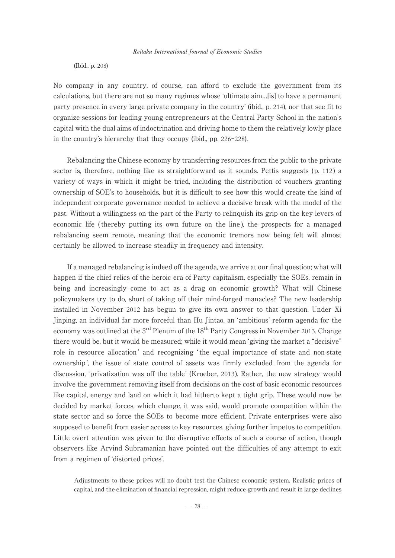(Ibid., p. 208)

No company in any country, of course, can afford to exclude the government from its calculations, but there are not so many regimes whose ʻultimate aim…[is] to have a permanent party presence in every large private company in the country' (ibid., p. 214), nor that see fit to organize sessions for leadingyoungentrepreneurs at the Central Party School in the nation's capital with the dual aims of indoctrination and driving home to them the relatively lowly place in the country's hierarchy that they occupy (ibid., pp. 226-228).

Rebalancing the Chinese economy by transferring resources from the public to the private sector is, therefore, nothing like as straightforward as it sounds. Pettis suggests (p. 112) a variety of ways in which it might be tried, including the distribution of vouchers granting ownership of SOE's to households, but it is difficult to see how this would create the kind of independent corporate governance needed to achieve a decisive break with the model of the past. Without a willingness on the part of the Party to relinquish its grip on the key levers of economic life (thereby putting its own future on the line), the prospects for a managed rebalancing seem remote, meaning that the economic tremors now being felt will almost certainly be allowed to increase steadily in frequency and intensity.

If a managed rebalancing is indeed off the agenda, we arrive at our final question; what will happen if the chief relics of the heroic era of Party capitalism, especially the SOEs, remain in being and increasingly come to act as a drag on economic growth? What will Chinese policymakers try to do, short of taking off their mind-forged manacles? The new leadership installed in November 2012 has begun to give its own answer to that question. Under Xi Jinping, an individual far more forceful than Hu Jintao, an ʻambitious' reform agenda for the economy was outlined at the  $3<sup>rd</sup>$  Plenum of the  $18<sup>th</sup>$  Party Congress in November 2013. Change there would be, but it would be measured; while it would mean ʻgiving the market a "decisive" role in resource allocation ' and recognizing ʻ the equal importance of state and non-state ownership ', the issue of state control of assets was firmly excluded from the agenda for discussion, ʻprivatization was off the table' (Kroeber, 2013). Rather, the new strategy would involve the government removing itself from decisions on the cost of basic economic resources like capital, energy and land on which it had hitherto kept a tight grip. These would now be decided by market forces, which change, it was said, would promote competition within the state sector and so force the SOEs to become more efficient. Private enterprises were also supposed to benefit from easier access to key resources, giving further impetus to competition. Little overt attention was given to the disruptive effects of such a course of action, though observers like Arvind Subramanian have pointed out the difficulties of any attempt to exit from a regimen of ʻdistorted prices'.

Adjustments to these prices will no doubt test the Chinese economic system. Realistic prices of capital, and the elimination of financial repression, might reduce growth and result in large declines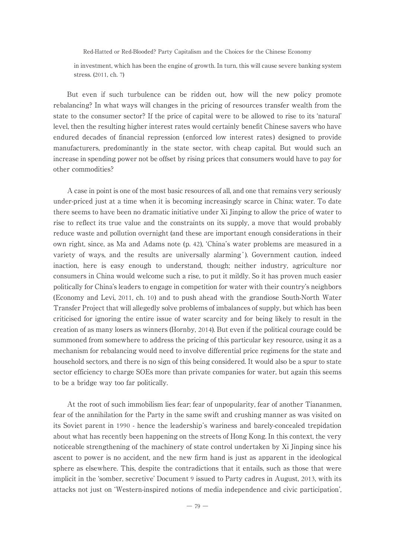in investment, which has been the engine of growth. In turn, this will cause severe banking system stress. (2011, ch. 7)

But even if such turbulence can be ridden out, how will the new policy promote rebalancing? In what ways will changes in the pricing of resources transfer wealth from the state to the consumer sector? If the price of capital were to be allowed to rise to its ʻnatural' level, then the resulting higher interest rates would certainly benefit Chinese savers who have endured decades of financial repression ( enforced low interest rates ) designed to provide manufacturers, predominantly in the state sector, with cheap capital. But would such an increase in spending power not be offset by rising prices that consumers would have to pay for other commodities?

A case in point is one of the most basic resources of all, and one that remains very seriously under-priced just at a time when it is becomingincreasingly scarce in China; water. To date there seems to have been no dramatic initiative under Xi Jinpingto allow the price of water to rise to reflect its true value and the constraints on its supply, a move that would probably reduce waste and pollution overnight (and these are important enough considerations in their own right, since, as Ma and Adams note (p. 42), ʻChina's water problems are measured in a variety of ways, and the results are universally alarming' ). Government caution, indeed inaction, here is easy enough to understand, though; neither industry, agriculture nor consumers in China would welcome such a rise, to put it mildly. So it has proven much easier politically for China's leaders to engage in competition for water with their country's neighbors (Economy and Levi, 2011, ch. 10) and to push ahead with the grandiose South-North Water Transfer Project that will allegedly solve problems of imbalances of supply, but which has been criticised for ignoring the entire issue of water scarcity and for being likely to result in the creation of as many losers as winners (Hornby, 2014). But even if the political courage could be summoned from somewhere to address the pricing of this particular key resource, using it as a mechanism for rebalancingwould need to involve differential price regimens for the state and household sectors, and there is no sign of this being considered. It would also be a spur to state sector efficiency to charge SOEs more than private companies for water, but again this seems to be a bridge way too far politically.

At the root of such immobilism lies fear; fear of unpopularity, fear of another Tiananmen, fear of the annihilation for the Party in the same swift and crushingmanner as was visited on its Soviet parent in 1990 - hence the leadership's wariness and barely-concealed trepidation about what has recently been happening on the streets of Hong Kong. In this context, the very noticeable strengthening of the machinery of state control undertaken by Xi Jinping since his ascent to power is no accident, and the new firm hand is just as apparent in the ideological sphere as elsewhere. This, despite the contradictions that it entails, such as those that were implicit in the ʻsomber, secretive' Document 9 issued to Party cadres in August, 2013, with its attacks not just on ʻWestern-inspired notions of media independence and civic participation',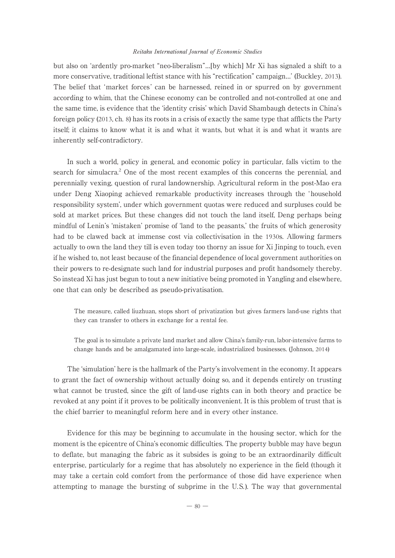but also on ʻardently pro-market "neo-liberalism"…[by which] Mr Xi has signaled a shift to a more conservative, traditional leftist stance with his "rectification" campaign…' (Buckley, 2013). The belief that 'market forces' can be harnessed, reined in or spurred on by government according to whim, that the Chinese economy can be controlled and not-controlled at one and the same time, is evidence that the ʻidentity crisis' which David Shambaugh detects in China's foreign policy (2013, ch. 8) has its roots in a crisis of exactly the same type that afflicts the Party itself; it claims to know what it is and what it wants, but what it is and what it wants are inherently self-contradictory.

In such a world, policy in general, and economic policy in particular, falls victim to the search for simulacra.<sup>2</sup> One of the most recent examples of this concerns the perennial, and perennially vexing, question of rural landownership. Agricultural reform in the post-Mao era under Deng Xiaoping achieved remarkable productivity increases through the 'household responsibility system', under which government quotas were reduced and surpluses could be sold at market prices. But these changes did not touch the land itself, Deng perhaps being mindful of Lenin's ʻmistaken' promise of ʻland to the peasants,' the fruits of which generosity had to be clawed back at immense cost via collectivisation in the 1930s. Allowing farmers actually to own the land they till is even today too thorny an issue for Xi Jinping to touch, even if he wished to, not least because of the financial dependence of local government authorities on their powers to re-designate such land for industrial purposes and profit handsomely thereby. So instead Xi has just begun to tout a new initiative being promoted in Yangling and elsewhere, one that can only be described as pseudo-privatisation.

The measure, called liuzhuan, stops short of privatization but gives farmers land-use rights that they can transfer to others in exchange for a rental fee.

The goal is to simulate a private land market and allow China's family-run, labor-intensive farms to change hands and be amalgamated into large-scale, industrialized businesses. (Johnson, 2014)

The ʻsimulation' here is the hallmark of the Party's involvement in the economy. It appears to grant the fact of ownership without actually doing so, and it depends entirely on trusting what cannot be trusted, since the gift of land-use rights can in both theory and practice be revoked at any point if it proves to be politically inconvenient. It is this problem of trust that is the chief barrier to meaningful reform here and in every other instance.

Evidence for this may be beginning to accumulate in the housing sector, which for the moment is the epicentre of China's economic difficulties. The property bubble may have begun to deflate, but managing the fabric as it subsides is going to be an extraordinarily difficult enterprise, particularly for a regime that has absolutely no experience in the field (though it may take a certain cold comfort from the performance of those did have experience when attempting to manage the bursting of subprime in the U.S.). The way that governmental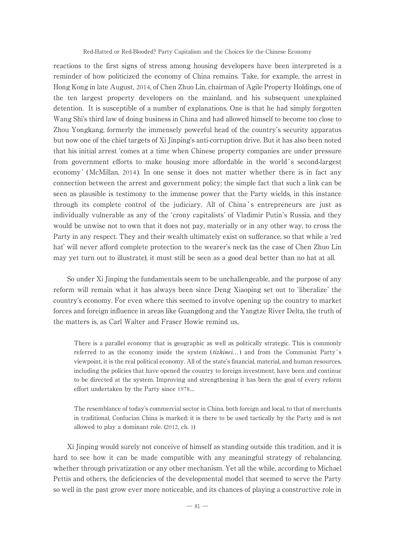reactions to the first signs of stress among housing developers have been interpreted is a reminder of how politicized the economy of China remains. Take, for example, the arrest in HongKongin late August, 2014, of Chen Zhuo Lin, chairman of Agile Property Holdings, one of the ten largest property developers on the mainland, and his subsequent unexplained detention. It is susceptible of a number of explanations. One is that he had simply forgotten Wang Shi's third law of doing business in China and had allowed himself to become too close to Zhou Yongkang, formerly the immensely powerful head of the country's security apparatus but now one of the chief targets of Xi Jinping's anti-corruption drive. But it has also been noted that his initial arrest ʻcomes at a time when Chinese property companies are under pressure from government efforts to make housing more affordable in the world's second-largest economy ' (McMillan, 2014 ). In one sense it does not matter whether there is in fact any connection between the arrest and government policy; the simple fact that such a link can be seen as plausible is testimony to the immense power that the Party wields, in this instance through its complete control of the judiciary. All of China's entrepreneurs are just as individually vulnerable as any of the ʻcrony capitalists' of Vladimir Putin's Russia, and they would be unwise not to own that it does not pay, materially or in any other way, to cross the Party in any respect. They and their wealth ultimately exist on sufferance, so that while a ʻred hat' will never afford complete protection to the wearer's neck (as the case of Chen Zhuo Lin may yet turn out to illustrate), it must still be seen as a good deal better than no hat at all.

So under Xi Jinping the fundamentals seem to be unchallengeable, and the purpose of any reform will remain what it has always been since DengXiaopingset out to ʻliberalize' the country's economy. For even where this seemed to involve openingup the country to market forces and foreign influence in areas like Guangdong and the Yangtze River Delta, the truth of the matters is, as Carl Walter and Fraser Howie remind us,

There is a parallel economy that is geographic as well as politically strategic. This is commonly referred to as the economy inside the system ( $tizhinei...$ ) and from the Communist Party's viewpoint, it is the real political economy. All of the state's financial, material, and human resources, including the policies that have opened the country to foreign investment, have been and continue to be directed at the system. Improving and strengthening it has been the goal of every reform effort undertaken by the Party since 1978…

The resemblance of today's commercial sector in China, both foreign and local, to that of merchants in traditional, Confucian China is marked: it is there to be used tactically by the Party and is not allowed to play a dominant role. (2012, ch. 1)

Xi Jinpingwould surely not conceive of himself as standingoutside this tradition, and it is hard to see how it can be made compatible with any meaningful strategy of rebalancing, whether through privatization or any other mechanism. Yet all the while, according to Michael Pettis and others, the deficiencies of the developmental model that seemed to serve the Party so well in the past grow ever more noticeable, and its chances of playing a constructive role in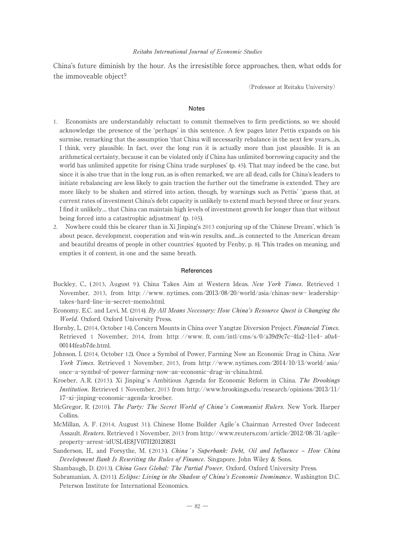China's future diminish by the hour. As the irresistible force approaches, then, what odds for the immoveable object?

(Professor at Reitaku University)

#### **Notes**

- 1. Economists are understandably reluctant to commit themselves to firm predictions, so we should acknowledge the presence of the ʻperhaps' in this sentence. A few pages later Pettis expands on his surmise, remarking that the assumption 'that China will necessarily rebalance in the next few years... is, I think, very plausible. In fact, over the long run it is actually more than just plausible. It is an arithmetical certainty, because it can be violated only if China has unlimited borrowing capacity and the world has unlimited appetite for risingChina trade surpluses' (p. 45). That may indeed be the case, but since it is also true that in the long run, as is often remarked, we are all dead, calls for China's leaders to initiate rebalancing are less likely to gain traction the further out the timeframe is extended. They are more likely to be shaken and stirred into action, though, by warnings such as Pettis' ʻguess that, at current rates of investment China's debt capacity is unlikely to extend much beyond three or four years. I find it unlikely… that China can maintain high levels of investment growth for longer than that without being forced into a catastrophic adjustment' (p. 105).
- 2. Nowhere could this be clearer than in Xi Jinping's 2013 conjuring up of the 'Chinese Dream', which 'is about peace, development, cooperation and win-win results, and…is connected to the American dream and beautiful dreams of people in other countries' (quoted by Fenby, p. 8). This trades on meaning, and empties it of content, in one and the same breath.

#### **References**

- Buckley, C., (2013, August 9). China Takes Aim at Western Ideas. New York Times. Retrieved 1 November, 2013, from http: //www. nytimes. com/2013/08/20/world/asia/chinas-new- leadershiptakes-hard-line-in-secret-memo.html.
- Economy, E.C. and Levi, M. (2014). By All Means Necessary: How China's Resource Quest is Changing the World. Oxford. Oxford University Press.
- Hornby, L. (2014, October 14). Concern Mounts in China over Yangtze Diversion Project. Financial Times. Retrieved 1 November, 2014, from http: //www. ft. com/intl/cms/s/0/a39d9c7c-4fa2-11e4- a0a4- 00144feab7de.html.
- Johnson, I. (2014, October 12). Once a Symbol of Power, Farming Now an Economic Drag in China. New York Times. Retrieved 1 November, 2013, from http://www.nytimes.com/2014/10/13/world/asia/ once-a-symbol-of-power-farming-now-an-economic-drag-in-china.html.
- Kroeber, A.R. (2013). Xi Jinping's Ambitious Agenda for Economic Reform in China. The Brookings Institution. Retrieved 1 November, 2013 from http://www.brookings.edu/research/opinions/2013/11/ 17-xi-jinping-economic-agenda-kroeber.
- McGregor, R. (2010). The Party: The Secret World of China's Communist Rulers. New York. Harper Collins.
- McMillan, A. F. (2014, August 31). Chinese Home Builder Agile's Chairman Arrested Over Indecent Assault. Reuters. Retrieved 1 November, 2013 from http://www.reuters.com/article/2012/08/31/agileproperty-arrest-idUSL4E8JV07H20120831
- Sanderson, H., and Forsythe, M. (2013). China's Superbank: Debt, Oil and Influence How China Development Bank Is Rewriting the Rules of Finance. Singapore. John Wiley & Sons.

Shambaugh, D. (2013). China Goes Global: The Partial Power. Oxford. Oxford University Press.

Subramanian, A. (2011). Eclipse: Living in the Shadow of China's Economic Dominance. Washington D.C. Peterson Institute for International Economics.